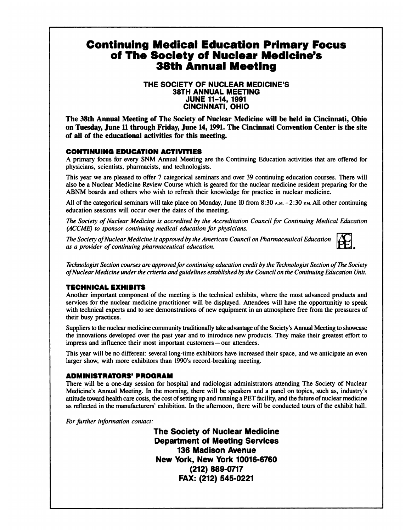# **Continuing Medical Education Primary Focus of The Society of Nuclear Medicine's 38th Annual Meeting**

### **THE SOCIETY OF NUCLEAR MEDICINE'S 38TH ANNUAL MEETING JUNE 11—14, 1991 CINCINNATI, OHIO**

**The 38th AnnualMeetingof The Societyof NuclearMedicinewill be held in Cincinnati,Ohio on Tuesday,June II throughFriday,June 14, 1991.The CincinnatiConventionCenteris the site of all of the educational activities for this meeting.**

## **CONTINUING EDUCATION ACTIVITIES**

A primary focus for every SNM Annual Meeting are the Continuing Education activities that are offered for physicians, scientists, pharmacists, and technologists.

This year we are pleased to offer 7 categorical seminars and over 39 continuing education courses. There will also be a Nuclear Medicine Review Course which is geared for the nuclear medicine resident preparing for the ABNM boards and others who wish to refresh their knowledge for practice in nuclear medicine.

All of the categorical seminars will take place on Monday, June 10 from 8:30 A.M.  $-2:30$  P.M. All other continuing education sessions will occur over the dates of the meeting.

*The* Society of Nuclear Medicine is accredited by the Accreditation Council for Continuing Medical Education *(ACCME) to sponsor continuing medical education for physicians.*

*The Society ofNuclear Medicine is approved by the American Council on Pharmaceutical Education as a provider of continuing pharmaceutical education.*

*Technologist Section courses are approvedfor continuing education credit by the Technologist Section ofThe Society ofNuclear Medicine under the criteria andguidelines establishedby the Councilon the Continuing Education Unit.*

### **TECHNICAL EXHIBITS**

Another important component of the meeting is the technical exhibits, where the most advanced products and services for the nuclear medicine practitioner will be displayed. Attendees will have the opportunitiy to speak with technical experts and to see demonstrations of new equipment in an atmosphere free from the pressures of their busy practices.

Suppliers to the nuclear medicine community traditionally take advantage of the Society's Annual Meeting to showcase the innovations developed over the past year and to introduce new products. They make their greatest effort to impress and influence their most important customers—our attendees.

This year will be no different: several long-time exhibitors have increased their space, and we anticipate an even larger show, with more exhibitors than 1990's record-breaking meeting.

### **ADMINISTRATORS' PROGRAM**

There will be a one-day session for hospital and radiologist administrators attending The Society of Nuclear Medicine's Annual Meeting. In the morning, there will be speakers and a panel on topics, such as, industry's attitude toward health care costs, the cost of setting up and running a PET facility, and the future of nuclear medicine as reflected in the manufacturers' exhibition. In the afternoon, there will be conducted tours of the exhibit hall.

*For further information contact:*

**The Society of Nuclear Medicine** Department of Meeting Services **136 Madison Avenue New York, New York 10016-6760** (212) 889-0717 **FAX: (212) 545-0221**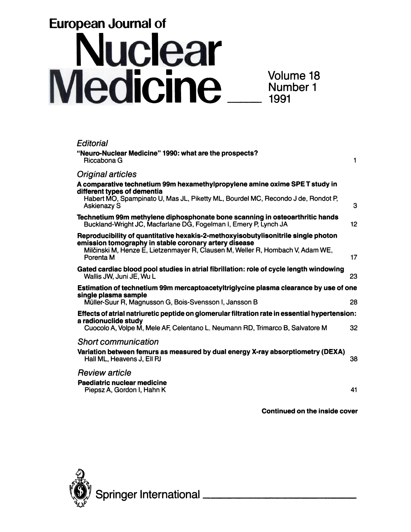# **European Journal of Nuclear<br>Medicine**

| Editorial                                                                                                                                        |    |
|--------------------------------------------------------------------------------------------------------------------------------------------------|----|
| "Neuro-Nuclear Medicine" 1990: what are the prospects?<br>Riccabona G                                                                            | 1  |
| <b>Original articles</b>                                                                                                                         |    |
| A comparative technetium 99m hexamethylpropylene amine oxime SPE T study in<br>different types of dementia                                       |    |
| Habert MO, Spampinato U, Mas JL, Piketty ML, Bourdel MC, Recondo J de, Rondot P,<br><b>Askienazy S</b>                                           | 3  |
| Technetium 99m methylene diphosphonate bone scanning in osteoarthritic hands<br>Buckland-Wright JC, Macfarlane DG, Fogelman I, Emery P, Lynch JA | 12 |
| Reproducibility of quantitative hexakis-2-methoxyisobutylisonitrile single photon<br>emission tomography in stable coronary artery disease       |    |
| Milčinski M, Henze E, Lietzenmayer R, Clausen M, Weller R, Hombach V, Adam WE,<br>Porenta M                                                      | 17 |
| Gated cardiac blood pool studies in atrial fibrillation: role of cycle length windowing<br>Wallis JW, Juni JE, Wu L                              | 23 |
| Estimation of technetium 99m mercaptoacetyltriglycine plasma clearance by use of one<br>single plasma sample                                     |    |
| Müller-Suur R, Magnusson G, Bois-Svensson I, Jansson B                                                                                           | 28 |
| Effects of atrial natriuretic peptide on glomerular filtration rate in essential hypertension:                                                   |    |
| a radionuclide study<br>Cuocolo A, Volpe M, Mele AF, Celentano L, Neumann RD, Trimarco B, Salvatore M                                            | 32 |
| <b>Short communication</b>                                                                                                                       |    |
| Variation between femurs as measured by dual energy X-ray absorptiometry (DEXA)<br>Hall ML, Heavens J, Ell PJ                                    | 38 |
| <b>Review article</b>                                                                                                                            |    |
| <b>Paediatric nuclear medicine</b><br>Piepsz A, Gordon I, Hahn K                                                                                 | 41 |
|                                                                                                                                                  |    |

**Continued on the inside cover**

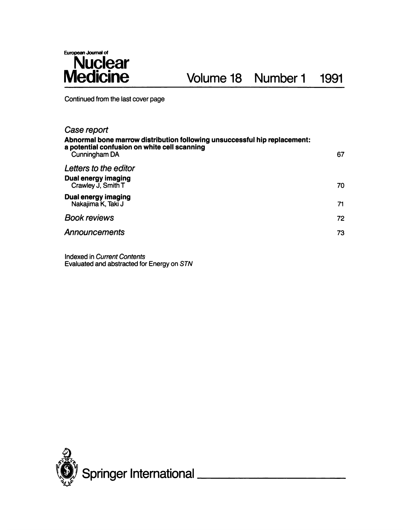

Continued from the last cover page

| Case report                                                                                                                                |    |  |
|--------------------------------------------------------------------------------------------------------------------------------------------|----|--|
| Abnormal bone marrow distribution following unsuccessful hip replacement:<br>a potential confusion on white cell scanning<br>Cunningham DA | 67 |  |
| Letters to the editor                                                                                                                      |    |  |
| <b>Dual energy imaging</b><br>Crawley J, Smith T                                                                                           | 70 |  |
| Dual energy imaging<br>Nakajima K, Taki J                                                                                                  | 71 |  |
| <b>Book reviews</b>                                                                                                                        | 72 |  |
| <b>Announcements</b>                                                                                                                       | 73 |  |
|                                                                                                                                            |    |  |

Indexed in Current Contents Evaluated and abstracted for Energy on STN